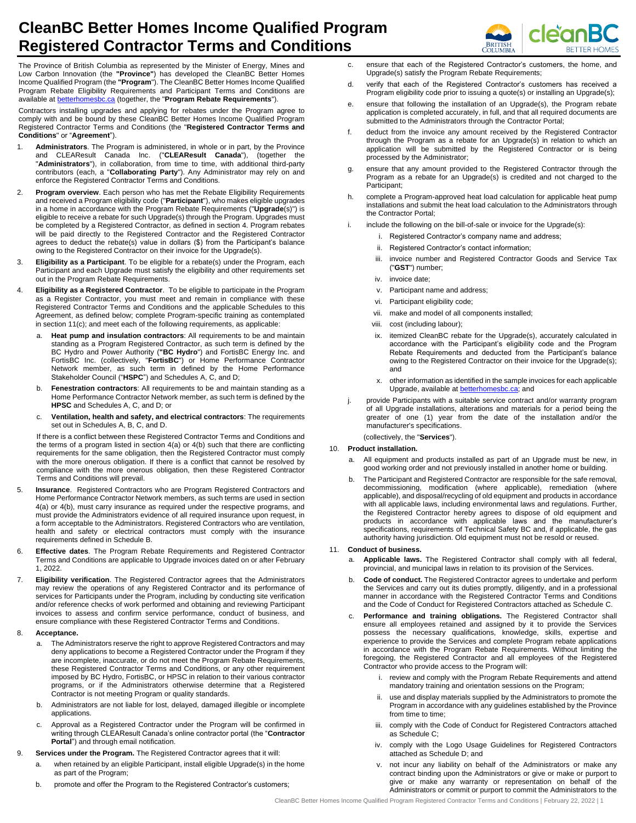

**BRITISH**<br>COLUMBIA

The Province of British Columbia as represented by the Minister of Energy, Mines and Low Carbon Innovation (the **"Province"**) has developed the CleanBC Better Homes Income Qualified Program (the **"Program**"). The CleanBC Better Homes Income Qualified Program Rebate Eligibility Requirements and Participant Terms and Conditions are available a[t betterhomesbc.ca](http://www.betterhomesbc.ca/) (together, the "**Program Rebate Requirements**").

Contractors installing upgrades and applying for rebates under the Program agree to comply with and be bound by these CleanBC Better Homes Income Qualified Program Registered Contractor Terms and Conditions (the "**Registered Contractor Terms and Conditions**" or "**Agreement**").

- 1. **Administrators**. The Program is administered, in whole or in part, by the Province and CLEAResult Canada Inc. ("**CLEAResult Canada**"), (together the "**Administrators**"), in collaboration, from time to time, with additional third-party contributors (each, a "**Collaborating Party**"). Any Administrator may rely on and enforce the Registered Contractor Terms and Conditions.
- 2. **Program overview**. Each person who has met the Rebate Eligibility Requirements and received a Program eligibility code ("**Participant**"), who makes eligible upgrades in a home in accordance with the Program Rebate Requirements ("**Upgrade**(s)") is eligible to receive a rebate for such Upgrade(s) through the Program. Upgrades must be completed by a Registered Contractor, as defined in section 4. Program rebates will be paid directly to the Registered Contractor and the Registered Contractor agrees to deduct the rebate(s) value in dollars (\$) from the Participant's balance owing to the Registered Contractor on their invoice for the Upgrade(s).
- 3. **Eligibility as a Participant**. To be eligible for a rebate(s) under the Program, each Participant and each Upgrade must satisfy the eligibility and other requirements set out in the Program Rebate Requirements.
- 4. **Eligibility as a Registered Contractor**. To be eligible to participate in the Program as a Register Contractor, you must meet and remain in compliance with these Registered Contractor Terms and Conditions and the applicable Schedules to this Agreement, as defined below; complete Program-specific training as contemplated in section 11(c); and meet each of the following requirements, as applicable:
	- a. **Heat pump and insulation contractors**: All requirements to be and maintain standing as a Program Registered Contractor, as such term is defined by the BC Hydro and Power Authority (**"BC Hydro**") and FortisBC Energy Inc. and FortisBC Inc. (collectively, "**FortisBC**") or Home Performance Contractor Network member, as such term in defined by the Home Performance Stakeholder Council ("**HSPC**") and Schedules A, C, and D;
	- b. **Fenestration contractors**: All requirements to be and maintain standing as a Home Performance Contractor Network member, as such term is defined by the **HPSC** and Schedules A, C, and D; or
	- c. **Ventilation, health and safety, and electrical contractors**: The requirements set out in Schedules A, B, C, and D.

If there is a conflict between these Registered Contractor Terms and Conditions and the terms of a program listed in section 4(a) or 4(b) such that there are conflicting requirements for the same obligation, then the Registered Contractor must comply with the more onerous obligation. If there is a conflict that cannot be resolved by compliance with the more onerous obligation, then these Registered Contractor Terms and Conditions will prevail.

- 5. **Insurance**. Registered Contractors who are Program Registered Contractors and Home Performance Contractor Network members, as such terms are used in section 4(a) or 4(b), must carry insurance as required under the respective programs, and must provide the Administrators evidence of all required insurance upon request, in a form acceptable to the Administrators. Registered Contractors who are ventilation, health and safety or electrical contractors must comply with the insurance requirements defined in Schedule B.
- 6. **Effective dates**. The Program Rebate Requirements and Registered Contractor Terms and Conditions are applicable to Upgrade invoices dated on or after February 1, 2022.
- 7. **Eligibility verification**. The Registered Contractor agrees that the Administrators may review the operations of any Registered Contractor and its performance of services for Participants under the Program, including by conducting site verification and/or reference checks of work performed and obtaining and reviewing Participant invoices to assess and confirm service performance, conduct of business, and ensure compliance with these Registered Contractor Terms and Conditions.

#### 8. **Acceptance.**

- a. The Administrators reserve the right to approve Registered Contractors and may deny applications to become a Registered Contractor under the Program if they are incomplete, inaccurate, or do not meet the Program Rebate Requirements, these Registered Contractor Terms and Conditions, or any other requirement imposed by BC Hydro, FortisBC, or HPSC in relation to their various contractor programs, or if the Administrators otherwise determine that a Registered Contractor is not meeting Program or quality standards.
- b. Administrators are not liable for lost, delayed, damaged illegible or incomplete applications.
- c. Approval as a Registered Contractor under the Program will be confirmed in writing through CLEAResult Canada's online contractor portal (the "**Contractor Portal**") and through email notification.
- 9. **Services under the Program.** The Registered Contractor agrees that it will:
	- a. when retained by an eligible Participant, install eligible Upgrade(s) in the home as part of the Program;
	- b. promote and offer the Program to the Registered Contractor's customers;
- c. ensure that each of the Registered Contractor's customers, the home, and Upgrade(s) satisfy the Program Rebate Requirements;
- d. verify that each of the Registered Contractor's customers has received a Program eligibility code prior to issuing a quote(s) or installing an Upgrade(s);
- e. ensure that following the installation of an Upgrade(s), the Program rebate application is completed accurately, in full, and that all required documents are submitted to the Administrators through the Contractor Portal;
- f. deduct from the invoice any amount received by the Registered Contractor through the Program as a rebate for an Upgrade(s) in relation to which an application will be submitted by the Registered Contractor or is being processed by the Administrator;
- g. ensure that any amount provided to the Registered Contractor through the Program as a rebate for an Upgrade(s) is credited and not charged to the Participant;
- h. complete a Program-approved heat load calculation for applicable heat pump installations and submit the heat load calculation to the Administrators through the Contractor Portal;
- i. include the following on the bill-of-sale or invoice for the Upgrade(s):
	- i. Registered Contractor's company name and address;
	- ii. Registered Contractor's contact information:
	- iii. invoice number and Registered Contractor Goods and Service Tax ("**GST**") number;
	- iv. invoice date;
	- v. Participant name and address;
	- vi. Participant eligibility code;
	- vii. make and model of all components installed;
	- viii. cost (including labour);
	- ix. itemized CleanBC rebate for the Upgrade(s), accurately calculated in accordance with the Participant's eligibility code and the Program Rebate Requirements and deducted from the Participant's balance owing to the Registered Contractor on their invoice for the Upgrade(s); and
	- x. other information as identified in the sample invoices for each applicable Upgrade, available a[t betterhomesbc.ca;](http://www.betterhomesbc.ca/) and
- j. provide Participants with a suitable service contract and/or warranty program of all Upgrade installations, alterations and materials for a period being the greater of one (1) year from the date of the installation and/or the manufacturer's specifications.

(collectively, the "**Services**").

# 10. **Product installation.**

- a. All equipment and products installed as part of an Upgrade must be new, in good working order and not previously installed in another home or building.
- The Participant and Registered Contractor are responsible for the safe removal, decommissioning, modification (where applicable), remediation (where applicable), and disposal/recycling of old equipment and products in accordance with all applicable laws, including environmental laws and regulations. Further, the Registered Contractor hereby agrees to dispose of old equipment and products in accordance with applicable laws and the manufacturer's specifications, requirements of Technical Safety BC and, if applicable, the gas authority having jurisdiction. Old equipment must not be resold or reused.

# 11. **Conduct of business.**

- a. **Applicable laws.** The Registered Contractor shall comply with all federal, provincial, and municipal laws in relation to its provision of the Services.
- **Code of conduct.** The Registered Contractor agrees to undertake and perform the Services and carry out its duties promptly, diligently, and in a professional manner in accordance with the Registered Contractor Terms and Conditions and the Code of Conduct for Registered Contractors attached as Schedule C.
- Performance and training obligations. The Registered Contractor shall ensure all employees retained and assigned by it to provide the Services possess the necessary qualifications, knowledge, skills, expertise and experience to provide the Services and complete Program rebate applications in accordance with the Program Rebate Requirements. Without limiting the foregoing, the Registered Contractor and all employees of the Registered Contractor who provide access to the Program will:
	- i. review and comply with the Program Rebate Requirements and attend mandatory training and orientation sessions on the Program;
	- ii. use and display materials supplied by the Administrators to promote the Program in accordance with any guidelines established by the Province from time to time:
	- iii. comply with the Code of Conduct for Registered Contractors attached as Schedule C;
	- iv. comply with the Logo Usage Guidelines for Registered Contractors attached as Schedule D; and
	- not incur any liability on behalf of the Administrators or make any contract binding upon the Administrators or give or make or purport to give or make any warranty or representation on behalf of the Administrators or commit or purport to commit the Administrators to the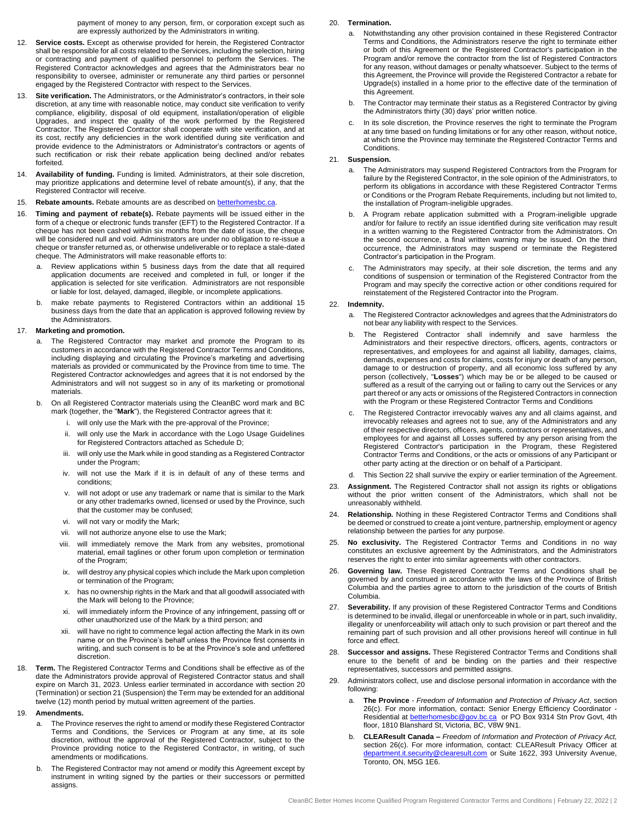payment of money to any person, firm, or corporation except such as are expressly authorized by the Administrators in writing.

- 12. **Service costs.** Except as otherwise provided for herein, the Registered Contractor shall be responsible for all costs related to the Services, including the selection, hiring or contracting and payment of qualified personnel to perform the Services. The Registered Contractor acknowledges and agrees that the Administrators bear no responsibility to oversee, administer or remunerate any third parties or personnel engaged by the Registered Contractor with respect to the Services.
- 13. **Site verification.** The Administrators, or the Administrator's contractors, in their sole discretion, at any time with reasonable notice, may conduct site verification to verify compliance, eligibility, disposal of old equipment, installation/operation of eligible Upgrades, and inspect the quality of the work performed by the Registered Contractor. The Registered Contractor shall cooperate with site verification, and at its cost, rectify any deficiencies in the work identified during site verification and provide evidence to the Administrators or Administrator's contractors or agents of such rectification or risk their rebate application being declined and/or rebates forfeited.
- 14. **Availability of funding.** Funding is limited. Administrators, at their sole discretion, may prioritize applications and determine level of rebate amount(s), if any, that the Registered Contractor will receive.
- 15. **Rebate amounts.** Rebate amounts are as described on **betterhomesbc.ca**.
- 16. **Timing and payment of rebate(s).** Rebate payments will be issued either in the form of a cheque or electronic funds transfer (EFT) to the Registered Contractor. If a cheque has not been cashed within six months from the date of issue, the cheque will be considered null and void. Administrators are under no obligation to re-issue a cheque or transfer returned as, or otherwise undeliverable or to replace a stale-dated cheque. The Administrators will make reasonable efforts to:
	- a. Review applications within 5 business days from the date that all required application documents are received and completed in full, or longer if the application is selected for site verification. Administrators are not responsible or liable for lost, delayed, damaged, illegible, or incomplete applications.
	- b. make rebate payments to Registered Contractors within an additional 15 business days from the date that an application is approved following review by the Administrators.

# 17. **Marketing and promotion.**

- a. The Registered Contractor may market and promote the Program to its customers in accordance with the Registered Contractor Terms and Conditions, including displaying and circulating the Province's marketing and advertising materials as provided or communicated by the Province from time to time. The Registered Contractor acknowledges and agrees that it is not endorsed by the Administrators and will not suggest so in any of its marketing or promotional materials.
- b. On all Registered Contractor materials using the CleanBC word mark and BC mark (together, the "**Mark**"), the Registered Contractor agrees that it:
	- i. will only use the Mark with the pre-approval of the Province;
	- ii. will only use the Mark in accordance with the Logo Usage Guidelines for Registered Contractors attached as Schedule D;
	- iii. will only use the Mark while in good standing as a Registered Contractor under the Program;
	- iv. will not use the Mark if it is in default of any of these terms and conditions;
	- v. will not adopt or use any trademark or name that is similar to the Mark or any other trademarks owned, licensed or used by the Province, such that the customer may be confused;
	- vi. will not vary or modify the Mark;
	- vii. will not authorize anyone else to use the Mark;
	- viii. will immediately remove the Mark from any websites, promotional material, email taglines or other forum upon completion or termination of the Program;
	- ix. will destroy any physical copies which include the Mark upon completion or termination of the Program;
	- x. has no ownership rights in the Mark and that all goodwill associated with the Mark will belong to the Province;
	- xi. will immediately inform the Province of any infringement, passing off or other unauthorized use of the Mark by a third person; and
	- xii. will have no right to commence legal action affecting the Mark in its own name or on the Province's behalf unless the Province first consents in writing, and such consent is to be at the Province's sole and unfettered discretion.
- 18. **Term.** The Registered Contractor Terms and Conditions shall be effective as of the date the Administrators provide approval of Registered Contractor status and shall expire on March 31, 2023. Unless earlier terminated in accordance with section 20 (Termination) or section 21 (Suspension) the Term may be extended for an additional twelve (12) month period by mutual written agreement of the parties.

## 19. **Amendments.**

- The Province reserves the right to amend or modify these Registered Contractor Terms and Conditions, the Services or Program at any time, at its sole discretion, without the approval of the Registered Contractor, subject to the Province providing notice to the Registered Contractor, in writing, of such amendments or modifications.
- b. The Registered Contractor may not amend or modify this Agreement except by instrument in writing signed by the parties or their successors or permitted assigns.

## 20. **Termination.**

- a. Notwithstanding any other provision contained in these Registered Contractor Terms and Conditions, the Administrators reserve the right to terminate either or both of this Agreement or the Registered Contractor's participation in the Program and/or remove the contractor from the list of Registered Contractors for any reason, without damages or penalty whatsoever. Subject to the terms of this Agreement, the Province will provide the Registered Contractor a rebate for Upgrade(s) installed in a home prior to the effective date of the termination of this Agreement.
- b. The Contractor may terminate their status as a Registered Contractor by giving the Administrators thirty (30) days' prior written notice.
- In its sole discretion, the Province reserves the right to terminate the Program at any time based on funding limitations or for any other reason, without notice, at which time the Province may terminate the Registered Contractor Terms and Conditions.

# 21. **Suspension.**

- The Administrators may suspend Registered Contractors from the Program for failure by the Registered Contractor, in the sole opinion of the Administrators, to perform its obligations in accordance with these Registered Contractor Terms or Conditions or the Program Rebate Requirements, including but not limited to, the installation of Program-ineligible upgrades.
- b. A Program rebate application submitted with a Program-ineligible upgrade and/or for failure to rectify an issue identified during site verification may result in a written warning to the Registered Contractor from the Administrators. On the second occurrence, a final written warning may be issued. On the third occurrence, the Administrators may suspend or terminate the Registered Contractor's participation in the Program.
- c. The Administrators may specify, at their sole discretion, the terms and any conditions of suspension or termination of the Registered Contractor from the Program and may specify the corrective action or other conditions required for reinstatement of the Registered Contractor into the Program.

#### 22. **Indemnity.**

- a. The Registered Contractor acknowledges and agrees that the Administrators do not bear any liability with respect to the Services.
- b. The Registered Contractor shall indemnify and save harmless the Administrators and their respective directors, officers, agents, contractors or representatives, and employees for and against all liability, damages, claims, demands, expenses and costs for claims, costs for injury or death of any person, damage to or destruction of property, and all economic loss suffered by any person (collectively, "**Losses**") which may be or be alleged to be caused or suffered as a result of the carrying out or failing to carry out the Services or any part thereof or any acts or omissions of the Registered Contractors in connection with the Program or these Registered Contractor Terms and Conditions
- The Registered Contractor irrevocably waives any and all claims against, and irrevocably releases and agrees not to sue, any of the Administrators and any of their respective directors, officers, agents, contractors or representatives, and employees for and against all Losses suffered by any person arising from the Registered Contractor's participation in the Program, these Registered Contractor Terms and Conditions, or the acts or omissions of any Participant or other party acting at the direction or on behalf of a Participant.
- d. This Section 22 shall survive the expiry or earlier termination of the Agreement.
- 23. **Assignment.** The Registered Contractor shall not assign its rights or obligations without the prior written consent of the Administrators, which shall not be unreasonably withheld.
- 24. **Relationship.** Nothing in these Registered Contractor Terms and Conditions shall be deemed or construed to create a joint venture, partnership, employment or agency relationship between the parties for any purpose.
- 25. **No exclusivity.** The Registered Contractor Terms and Conditions in no way constitutes an exclusive agreement by the Administrators, and the Administrators reserves the right to enter into similar agreements with other contractors.
- 26. **Governing law.** These Registered Contractor Terms and Conditions shall be governed by and construed in accordance with the laws of the Province of British Columbia and the parties agree to attorn to the jurisdiction of the courts of British Columbia.
- 27. **Severability.** If any provision of these Registered Contractor Terms and Conditions is determined to be invalid, illegal or unenforceable in whole or in part, such invalidity, illegality or unenforceability will attach only to such provision or part thereof and the remaining part of such provision and all other provisions hereof will continue in full force and effect.
- 28. **Successor and assigns.** These Registered Contractor Terms and Conditions shall enure to the benefit of and be binding on the parties and their respective representatives, successors and permitted assigns.
- 29. Administrators collect, use and disclose personal information in accordance with the following:
	- a. **The Province** *Freedom of Information and Protection of Privacy Act*, section 26(c). For more information, contact: Senior Energy Efficiency Coordinator - Residential at **betterhomesbc@gov.bc.ca** or PO Box 9314 Stn Prov Govt, 4th floor, 1810 Blanshard St, Victoria, BC, V8W 9N1.
	- b. **CLEAResult Canada –** *Freedom of Information and Protection of Privacy Act,*  section 26(c). For more information, contact: CLEAResult Privacy Officer at [department.it.security@clearesult.com](mailto:department.it.security@clearesult.com) or Suite 1622, 393 University Avenue, Toronto, ON, M5G 1E6.